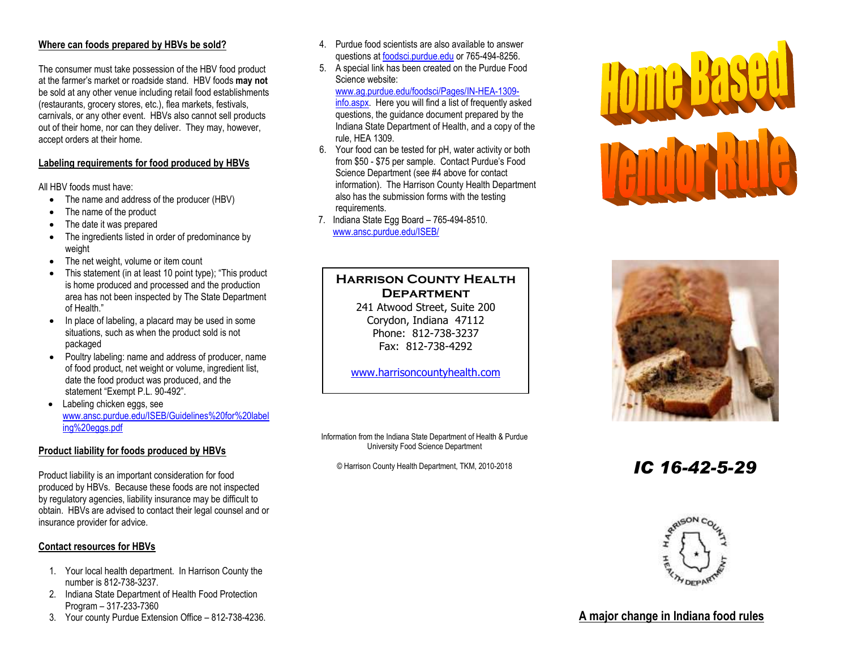## **Where can foods prepared by HBVs be sold?**

The consumer must take possession of the HBV food product at the farmer's market or roadside stand. HBV foods **may not** be sold at any other venue including retail food establishments (restaurants, grocery stores, etc.), flea markets, festivals, carnivals, or any other event. HBVs also cannot sell products out of their home, nor can they deliver. They may, however, accept orders at their home.

#### **Labeling requirements for food produced by HBVs**

All HBV foods must have:

- The name and address of the producer (HBV)
- The name of the product
- The date it was prepared
- The ingredients listed in order of predominance by weight
- The net weight, volume or item count
- This statement (in at least 10 point type); "This product is home produced and processed and the production area has not been inspected by The State Department of Health."
- In place of labeling, a placard may be used in some situations, such as when the product sold is not packaged
- Poultry labeling: name and address of producer, name of food product, net weight or volume, ingredient list, date the food product was produced, and the statement "Exempt P.L. 90-492".
- Labeling chicken eggs, see [www.ansc.purdue.edu/ISEB/Guidelines%20for%20label](www.ansc.purdue.edu/ISEB/Guidelines%20for%20labeling%20eggs.pdf) [ing%20eggs.pdf](www.ansc.purdue.edu/ISEB/Guidelines%20for%20labeling%20eggs.pdf)

#### **Product liability for foods produced by HBVs**

Product liability is an important consideration for food produced by HBVs. Because these foods are not inspected by regulatory agencies, liability insurance may be difficult to obtain. HBVs are advised to contact their legal counsel and or insurance provider for advice.

## **Contact resources for HBVs**

- 1. Your local health department. In Harrison County the number is 812-738-3237.
- 2. Indiana State Department of Health Food Protection Program – 317-233-7360
- 3. Your county Purdue Extension Office 812-738-4236.
- 4. Purdue food scientists are also available to answer questions at foodsci.purdue.edu or 765-494-8256.
- 5. A special link has been created on the Purdue Food Science website:

[www.ag.purdue.edu/foodsci/Pages/IN-HEA-1309](http://www.ag.purdue.edu/foodsci/Pages/IN-HEA-1309-info.aspx) [info.aspx.](http://www.ag.purdue.edu/foodsci/Pages/IN-HEA-1309-info.aspx) Here you will find a list of frequently asked questions, the guidance document prepared by the Indiana State Department of Health, and a copy of the rule, HEA 1309.

- 6. Your food can be tested for pH, water activity or both from \$50 - \$75 per sample. Contact Purdue's Food Science Department (see #4 above for contact information). The Harrison County Health Department also has the submission forms with the testing requirements.
- 7. Indiana State Egg Board 765-494-8510. www.ansc.purdue.edu/ISEB/

# **Harrison County Health Department**

241 Atwood Street, Suite 200 Corydon, Indiana 47112 Phone: 812-738-3237 Fax: 812-738-4292

[www.harrisoncountyhealth.com](http://www.harrisoncountyhealth.com/)

Information from the Indiana State Department of Health & Purdue University Food Science Department

© Harrison County Health Department, TKM, 2010-2018 *IC 16-42-5-29* 







# **A major change in Indiana food rules**